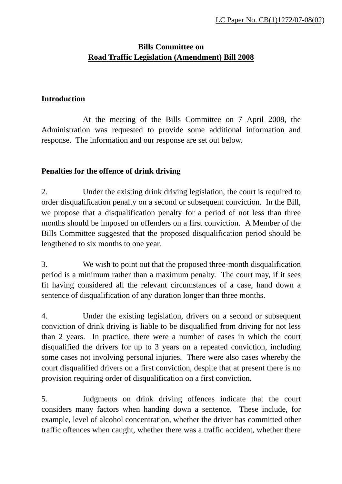## **Bills Committee on Road Traffic Legislation (Amendment) Bill 2008**

## **Introduction**

 At the meeting of the Bills Committee on 7 April 2008, the Administration was requested to provide some additional information and response. The information and our response are set out below.

## **Penalties for the offence of drink driving**

2. Under the existing drink driving legislation, the court is required to order disqualification penalty on a second or subsequent conviction. In the Bill, we propose that a disqualification penalty for a period of not less than three months should be imposed on offenders on a first conviction. A Member of the Bills Committee suggested that the proposed disqualification period should be lengthened to six months to one year.

3. We wish to point out that the proposed three-month disqualification period is a minimum rather than a maximum penalty. The court may, if it sees fit having considered all the relevant circumstances of a case, hand down a sentence of disqualification of any duration longer than three months.

4. Under the existing legislation, drivers on a second or subsequent conviction of drink driving is liable to be disqualified from driving for not less than 2 years. In practice, there were a number of cases in which the court disqualified the drivers for up to 3 years on a repeated conviction, including some cases not involving personal injuries. There were also cases whereby the court disqualified drivers on a first conviction, despite that at present there is no provision requiring order of disqualification on a first conviction.

5. Judgments on drink driving offences indicate that the court considers many factors when handing down a sentence. These include, for example, level of alcohol concentration, whether the driver has committed other traffic offences when caught, whether there was a traffic accident, whether there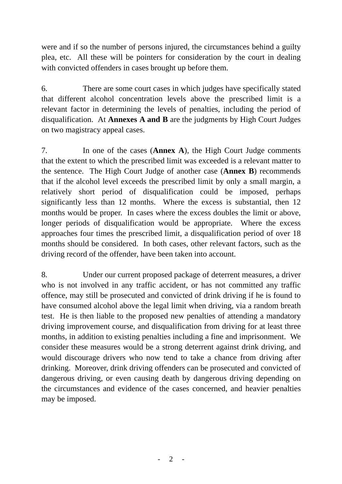were and if so the number of persons injured, the circumstances behind a guilty plea, etc. All these will be pointers for consideration by the court in dealing with convicted offenders in cases brought up before them.

6. There are some court cases in which judges have specifically stated that different alcohol concentration levels above the prescribed limit is a relevant factor in determining the levels of penalties, including the period of disqualification. At **Annexes A and B** are the judgments by High Court Judges on two magistracy appeal cases.

7. In one of the cases (**Annex A**), the High Court Judge comments that the extent to which the prescribed limit was exceeded is a relevant matter to the sentence. The High Court Judge of another case (**Annex B**) recommends that if the alcohol level exceeds the prescribed limit by only a small margin, a relatively short period of disqualification could be imposed, perhaps significantly less than 12 months. Where the excess is substantial, then 12 months would be proper. In cases where the excess doubles the limit or above, longer periods of disqualification would be appropriate. Where the excess approaches four times the prescribed limit, a disqualification period of over 18 months should be considered. In both cases, other relevant factors, such as the driving record of the offender, have been taken into account.

8. Under our current proposed package of deterrent measures, a driver who is not involved in any traffic accident, or has not committed any traffic offence, may still be prosecuted and convicted of drink driving if he is found to have consumed alcohol above the legal limit when driving, via a random breath test. He is then liable to the proposed new penalties of attending a mandatory driving improvement course, and disqualification from driving for at least three months, in addition to existing penalties including a fine and imprisonment. We consider these measures would be a strong deterrent against drink driving, and would discourage drivers who now tend to take a chance from driving after drinking. Moreover, drink driving offenders can be prosecuted and convicted of dangerous driving, or even causing death by dangerous driving depending on the circumstances and evidence of the cases concerned, and heavier penalties may be imposed.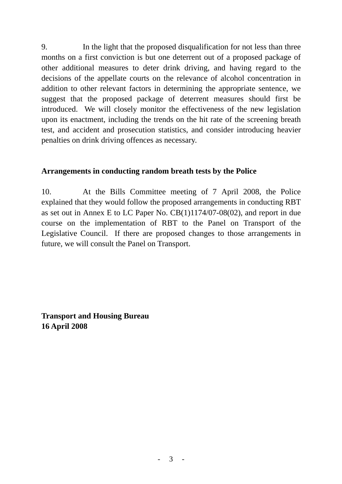9. In the light that the proposed disqualification for not less than three months on a first conviction is but one deterrent out of a proposed package of other additional measures to deter drink driving, and having regard to the decisions of the appellate courts on the relevance of alcohol concentration in addition to other relevant factors in determining the appropriate sentence, we suggest that the proposed package of deterrent measures should first be introduced. We will closely monitor the effectiveness of the new legislation upon its enactment, including the trends on the hit rate of the screening breath test, and accident and prosecution statistics, and consider introducing heavier penalties on drink driving offences as necessary.

## **Arrangements in conducting random breath tests by the Police**

10. At the Bills Committee meeting of 7 April 2008, the Police explained that they would follow the proposed arrangements in conducting RBT as set out in Annex E to LC Paper No. CB(1)1174/07-08(02), and report in due course on the implementation of RBT to the Panel on Transport of the Legislative Council. If there are proposed changes to those arrangements in future, we will consult the Panel on Transport.

**Transport and Housing Bureau 16 April 2008**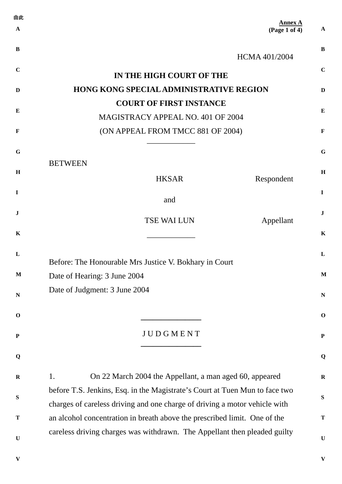| 由此           |                                                                                                                                                         |              |
|--------------|---------------------------------------------------------------------------------------------------------------------------------------------------------|--------------|
| $\mathbf{A}$ | <b>Annex A</b><br>(Page 1 of 4)                                                                                                                         | $\mathbf{A}$ |
| B            | <b>HCMA 401/2004</b>                                                                                                                                    | $\bf{B}$     |
| $\mathbf C$  | IN THE HIGH COURT OF THE                                                                                                                                | $\mathbf C$  |
| D            | <b>HONG KONG SPECIAL ADMINISTRATIVE REGION</b>                                                                                                          | D            |
|              | <b>COURT OF FIRST INSTANCE</b>                                                                                                                          |              |
| Е            | MAGISTRACY APPEAL NO. 401 OF 2004                                                                                                                       | $\bf{E}$     |
| $\mathbf F$  | (ON APPEAL FROM TMCC 881 OF 2004)                                                                                                                       | F            |
| G            |                                                                                                                                                         | $\mathbf G$  |
|              | <b>BETWEEN</b>                                                                                                                                          |              |
| H            | <b>HKSAR</b><br>Respondent                                                                                                                              | H            |
| $\mathbf I$  | and                                                                                                                                                     | $\mathbf I$  |
| J            | <b>TSE WAI LUN</b><br>Appellant                                                                                                                         | ${\bf J}$    |
| $\mathbf K$  |                                                                                                                                                         | $\mathbf K$  |
| L            |                                                                                                                                                         | L            |
|              | Before: The Honourable Mrs Justice V. Bokhary in Court                                                                                                  |              |
| $\mathbf M$  | Date of Hearing: 3 June 2004                                                                                                                            | $\mathbf M$  |
| $\mathbf N$  | Date of Judgment: 3 June 2004                                                                                                                           | ${\bf N}$    |
| $\mathbf 0$  |                                                                                                                                                         | $\mathbf 0$  |
| ${\bf P}$    | JUDGMENT                                                                                                                                                | $\mathbf P$  |
| Q            |                                                                                                                                                         | Q            |
| $\mathbf R$  | 1.<br>On 22 March 2004 the Appellant, a man aged 60, appeared                                                                                           | ${\bf R}$    |
| S            | before T.S. Jenkins, Esq. in the Magistrate's Court at Tuen Mun to face two                                                                             | ${\bf S}$    |
| $\mathbf T$  | charges of careless driving and one charge of driving a motor vehicle with<br>an alcohol concentration in breath above the prescribed limit. One of the | T            |
|              | careless driving charges was withdrawn. The Appellant then pleaded guilty                                                                               |              |
| $\mathbf U$  |                                                                                                                                                         | $\mathbf U$  |
| V            |                                                                                                                                                         | ${\bf V}$    |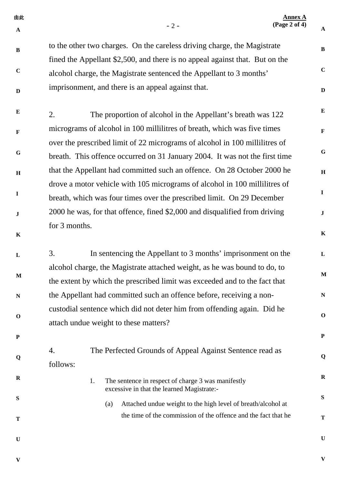| 由此<br>$\mathbf A$ | $-2-$                                                                                                                                                      | <b>Annex A</b><br>(Page 2 of 4)<br>$\mathbf{A}$ |             |
|-------------------|------------------------------------------------------------------------------------------------------------------------------------------------------------|-------------------------------------------------|-------------|
| $\bf{B}$          | to the other two charges. On the careless driving charge, the Magistrate<br>fined the Appellant \$2,500, and there is no appeal against that. But on the   | $\, {\bf B}$                                    |             |
| $\mathbf C$       | alcohol charge, the Magistrate sentenced the Appellant to 3 months'                                                                                        | $\mathbf C$                                     |             |
| $\mathbf D$       | imprisonment, and there is an appeal against that.                                                                                                         | $\mathbf D$                                     |             |
| $\bf{E}$          | The proportion of alcohol in the Appellant's breath was 122<br>2.                                                                                          | ${\bf E}$                                       |             |
| $\mathbf{F}$      | micrograms of alcohol in 100 millilitres of breath, which was five times                                                                                   | $\mathbf F$                                     |             |
| G                 | over the prescribed limit of 22 micrograms of alcohol in 100 millilitres of<br>breath. This offence occurred on 31 January 2004. It was not the first time | ${\bf G}$                                       |             |
| $\bf H$           | that the Appellant had committed such an offence. On 28 October 2000 he                                                                                    | $\, {\bf H}$                                    |             |
| $\mathbf I$       | drove a motor vehicle with 105 micrograms of alcohol in 100 millilitres of<br>breath, which was four times over the prescribed limit. On 29 December       | $\mathbf I$                                     |             |
| $\bf J$           | 2000 he was, for that offence, fined \$2,000 and disqualified from driving                                                                                 | $\mathbf{J}$                                    |             |
| $\mathbf K$       | for 3 months.                                                                                                                                              | $\mathbf K$                                     |             |
| L                 | In sentencing the Appellant to 3 months' imprisonment on the<br>3.                                                                                         | ${\bf L}$                                       |             |
| $\mathbf M$       | alcohol charge, the Magistrate attached weight, as he was bound to do, to<br>the extent by which the prescribed limit was exceeded and to the fact that    |                                                 | $\mathbf M$ |
| $\mathbf N$       | the Appellant had committed such an offence before, receiving a non-                                                                                       | $\mathbf N$                                     |             |
| $\mathbf 0$       | custodial sentence which did not deter him from offending again. Did he<br>attach undue weight to these matters?                                           | $\mathbf 0$                                     |             |
| $\mathbf P$       |                                                                                                                                                            | ${\bf P}$                                       |             |
| Q                 | The Perfected Grounds of Appeal Against Sentence read as<br>4.<br>follows:                                                                                 | Q                                               |             |
| $\mathbf R$       | The sentence in respect of charge 3 was manifestly<br>1.<br>excessive in that the learned Magistrate:-                                                     | $\mathbf R$                                     |             |
| S                 | Attached undue weight to the high level of breath/alcohol at<br>(a)                                                                                        | ${\bf S}$                                       |             |
| T                 | the time of the commission of the offence and the fact that he                                                                                             | $\mathbf T$                                     |             |
| $\mathbf U$       |                                                                                                                                                            | $\mathbf U$                                     |             |

**V**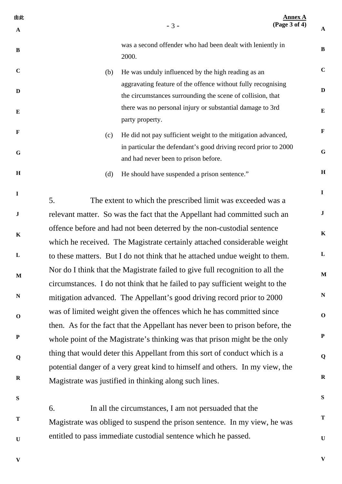| 由此<br>$\mathbf A$ | $-3-$                                                                                                                                                         | <b>Annex A</b><br>(Page 3 of 4)                                 | ${\bf A}$    |  |
|-------------------|---------------------------------------------------------------------------------------------------------------------------------------------------------------|-----------------------------------------------------------------|--------------|--|
| $\bf{B}$          | was a second offender who had been dealt with leniently in<br>2000.                                                                                           |                                                                 | $\bf{B}$     |  |
| $\mathbf C$       | He was unduly influenced by the high reading as an<br>(b)                                                                                                     |                                                                 | $\mathbf C$  |  |
| D                 | aggravating feature of the offence without fully recognising<br>the circumstances surrounding the scene of collision, that                                    |                                                                 | $\mathbf{D}$ |  |
| $\bf{E}$          | there was no personal injury or substantial damage to 3rd<br>party property.                                                                                  |                                                                 | ${\bf E}$    |  |
| $\mathbf{F}$      | He did not pay sufficient weight to the mitigation advanced,<br>(c)                                                                                           |                                                                 | $\mathbf{F}$ |  |
| $\mathbf G$       | and had never been to prison before.                                                                                                                          | in particular the defendant's good driving record prior to 2000 | G            |  |
| H                 | He should have suspended a prison sentence."<br>(d)                                                                                                           |                                                                 | H            |  |
| $\mathbf I$       | 5.<br>The extent to which the prescribed limit was exceeded was a                                                                                             |                                                                 | $\mathbf{I}$ |  |
| ${\bf J}$         | relevant matter. So was the fact that the Appellant had committed such an                                                                                     |                                                                 | $\bf J$      |  |
| $\mathbf K$       | offence before and had not been deterred by the non-custodial sentence                                                                                        |                                                                 | $\mathbf K$  |  |
|                   | which he received. The Magistrate certainly attached considerable weight                                                                                      |                                                                 |              |  |
| L                 | to these matters. But I do not think that he attached undue weight to them.                                                                                   |                                                                 | $\mathbf{L}$ |  |
| $\mathbf M$       | Nor do I think that the Magistrate failed to give full recognition to all the<br>circumstances. I do not think that he failed to pay sufficient weight to the |                                                                 | $\mathbf M$  |  |
| $\mathbb N$       | mitigation advanced. The Appellant's good driving record prior to 2000                                                                                        |                                                                 | ${\bf N}$    |  |
| $\mathbf 0$       | was of limited weight given the offences which he has committed since<br>then. As for the fact that the Appellant has never been to prison before, the        |                                                                 | $\mathbf 0$  |  |
| ${\bf P}$         | whole point of the Magistrate's thinking was that prison might be the only                                                                                    |                                                                 | $\mathbf P$  |  |
|                   | thing that would deter this Appellant from this sort of conduct which is a                                                                                    |                                                                 | Q            |  |
| Q                 | potential danger of a very great kind to himself and others. In my view, the                                                                                  |                                                                 |              |  |
| $\mathbf R$       | Magistrate was justified in thinking along such lines.                                                                                                        |                                                                 | $\mathbf R$  |  |
| S                 |                                                                                                                                                               |                                                                 | ${\bf S}$    |  |

6. In all the circumstances, I am not persuaded that the Magistrate was obliged to suspend the prison sentence. In my view, he was entitled to pass immediate custodial sentence which he passed.

**V** 

**T**

**U**

**V** 

**T**

**U**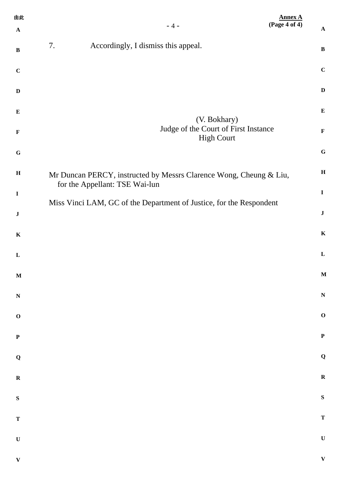| 由此<br>$\mathbf A$ | $-4-$                                                                                                | <b>Annex A</b><br>(Page 4 of 4) | $\mathbf A$               |
|-------------------|------------------------------------------------------------------------------------------------------|---------------------------------|---------------------------|
| $\, {\bf B}$      | 7.<br>Accordingly, I dismiss this appeal.                                                            |                                 | $\, {\bf B}$              |
| $\mathbf C$       |                                                                                                      |                                 | $\mathbf C$               |
| $\mathbf D$       |                                                                                                      | $\mathbf D$                     |                           |
| $\bf{E}$          |                                                                                                      | ${\bf E}$                       |                           |
| $\mathbf F$       | (V. Bokhary)<br>Judge of the Court of First Instance<br><b>High Court</b>                            | $\mathbf F$                     |                           |
| ${\bf G}$         |                                                                                                      |                                 | $\bf G$                   |
| $\, {\bf H}$      | Mr Duncan PERCY, instructed by Messrs Clarence Wong, Cheung & Liu,<br>for the Appellant: TSE Wai-lun | $\mathbf H$                     |                           |
| $\bf I$           | Miss Vinci LAM, GC of the Department of Justice, for the Respondent                                  | $\bf I$                         |                           |
| $\bf J$           |                                                                                                      | $\bf J$                         |                           |
| $\mathbf K$       |                                                                                                      | $\mathbf K$                     |                           |
| L                 |                                                                                                      | $\mathbf{L}$                    |                           |
| $\mathbf M$       |                                                                                                      |                                 | $\mathbf{M}$              |
| ${\bf N}$         |                                                                                                      |                                 | $\mathbf N$               |
| $\mathbf O$       |                                                                                                      |                                 | $\mathbf 0$               |
| $\mathbf P$       |                                                                                                      | $\mathbf P$                     |                           |
| $\mathbf Q$       |                                                                                                      |                                 | $\bf Q$                   |
| ${\bf R}$         |                                                                                                      |                                 | $\boldsymbol{\mathrm{R}}$ |
| ${\bf S}$         |                                                                                                      | ${\bf S}$                       |                           |
| $\mathbf T$       |                                                                                                      |                                 | $\mathbf T$               |
| $\mathbf U$       |                                                                                                      |                                 | $\mathbf U$               |
| $\mathbf{V}$      |                                                                                                      |                                 | $\mathbf{V}$              |
|                   |                                                                                                      |                                 |                           |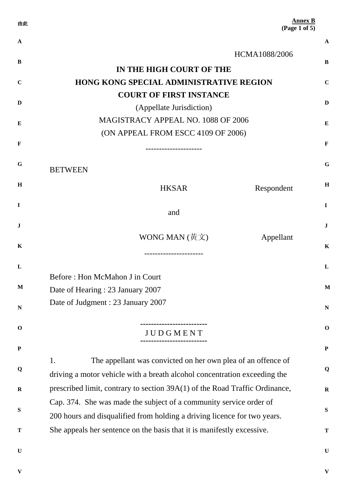| 由此           |                                                                             | <b>Annex B</b><br>(Page 1 of 5) |
|--------------|-----------------------------------------------------------------------------|---------------------------------|
| $\mathbf A$  |                                                                             | $\mathbf A$                     |
| B            | HCMA1088/2006                                                               | B                               |
|              | IN THE HIGH COURT OF THE                                                    |                                 |
| $\mathbf C$  | <b>HONG KONG SPECIAL ADMINISTRATIVE REGION</b>                              | $\mathbf C$                     |
| D            | <b>COURT OF FIRST INSTANCE</b>                                              | D                               |
|              | (Appellate Jurisdiction)<br>MAGISTRACY APPEAL NO. 1088 OF 2006              |                                 |
| E            | (ON APPEAL FROM ESCC 4109 OF 2006)                                          | E                               |
| $\mathbf{F}$ |                                                                             | F                               |
| G            |                                                                             | G                               |
|              | <b>BETWEEN</b>                                                              |                                 |
| H            | <b>HKSAR</b><br>Respondent                                                  | H                               |
| $\bf{I}$     | and                                                                         | $\mathbf I$                     |
| J            |                                                                             | $\bf J$                         |
|              | WONG MAN $(\frac{\text{H}}{\text{H}} \times)$<br>Appellant                  |                                 |
| K            |                                                                             | K                               |
| L            |                                                                             | L                               |
|              | Before: Hon McMahon J in Court                                              |                                 |
| $\mathbf M$  | Date of Hearing: 23 January 2007                                            | $\mathbf{M}$                    |
| N            | Date of Judgment : 23 January 2007                                          | ${\bf N}$                       |
| $\mathbf 0$  | <b>JUDGMENT</b>                                                             | $\mathbf 0$                     |
|              |                                                                             |                                 |
| ${\bf P}$    | 1.<br>The appellant was convicted on her own plea of an offence of          | $\mathbf P$                     |
| Q            | driving a motor vehicle with a breath alcohol concentration exceeding the   | Q                               |
| $\mathbf R$  | prescribed limit, contrary to section 39A(1) of the Road Traffic Ordinance, | $\mathbf R$                     |
|              | Cap. 374. She was made the subject of a community service order of          |                                 |
| ${\bf S}$    | 200 hours and disqualified from holding a driving licence for two years.    | S                               |
| T            | She appeals her sentence on the basis that it is manifestly excessive.      | T                               |
| $\mathbf U$  |                                                                             | $\mathbf U$                     |
|              |                                                                             |                                 |

**V**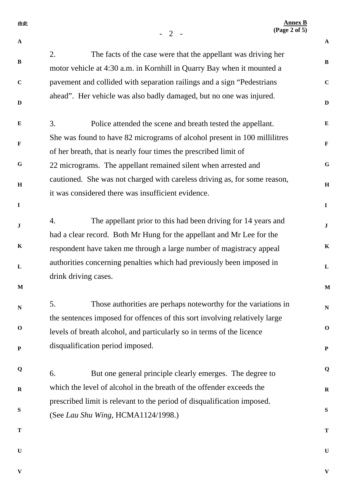| 由此           | $-2$                                                                                                                                           | <b>Annex B</b><br>$({\rm Page}\ 2\ of\ 5)$ |
|--------------|------------------------------------------------------------------------------------------------------------------------------------------------|--------------------------------------------|
| $\mathbf{A}$ |                                                                                                                                                | $\mathbf{A}$                               |
| $\, {\bf B}$ | 2.<br>The facts of the case were that the appellant was driving her                                                                            | $\bf{B}$                                   |
| $\mathbf C$  | motor vehicle at 4:30 a.m. in Kornhill in Quarry Bay when it mounted a                                                                         | $\mathbf C$                                |
|              | pavement and collided with separation railings and a sign "Pedestrians"<br>ahead". Her vehicle was also badly damaged, but no one was injured. |                                            |
| $\mathbf{D}$ |                                                                                                                                                | $\mathbf D$                                |
| $\bf{E}$     | 3.<br>Police attended the scene and breath tested the appellant.                                                                               | ${\bf E}$                                  |
| $\mathbf F$  | She was found to have 82 micrograms of alcohol present in 100 millilitres<br>of her breath, that is nearly four times the prescribed limit of  | $\mathbf F$                                |
| $\mathbf G$  | 22 micrograms. The appellant remained silent when arrested and                                                                                 | $\mathbf G$                                |
| $\mathbf H$  | cautioned. She was not charged with careless driving as, for some reason,                                                                      | $\mathbf H$                                |
|              | it was considered there was insufficient evidence.                                                                                             |                                            |
| $\mathbf I$  |                                                                                                                                                | $\mathbf I$                                |
| ${\bf J}$    | The appellant prior to this had been driving for 14 years and<br>4.                                                                            | $\bf J$                                    |
| $\mathbf K$  | had a clear record. Both Mr Hung for the appellant and Mr Lee for the                                                                          | $\mathbf K$                                |
|              | respondent have taken me through a large number of magistracy appeal                                                                           |                                            |
| L            | authorities concerning penalties which had previously been imposed in<br>drink driving cases.                                                  | ${\bf L}$                                  |
| $\mathbf{M}$ |                                                                                                                                                | $\mathbf{M}$                               |
| $\mathbf N$  | Those authorities are perhaps noteworthy for the variations in<br>5.                                                                           | ${\bf N}$                                  |
|              | the sentences imposed for offences of this sort involving relatively large                                                                     |                                            |
| $\mathbf 0$  | levels of breath alcohol, and particularly so in terms of the licence                                                                          | $\mathbf 0$                                |
| ${\bf P}$    | disqualification period imposed.                                                                                                               | $\mathbf P$                                |
| Q            | But one general principle clearly emerges. The degree to<br>6.                                                                                 | Q                                          |
| $\mathbf R$  | which the level of alcohol in the breath of the offender exceeds the                                                                           | $\mathbf R$                                |
|              | prescribed limit is relevant to the period of disqualification imposed.                                                                        |                                            |
| ${\bf S}$    | (See Lau Shu Wing, HCMA1124/1998.)                                                                                                             | ${\bf S}$                                  |
| T            |                                                                                                                                                | T                                          |
| $\mathbf U$  |                                                                                                                                                | $\mathbf U$                                |

**V**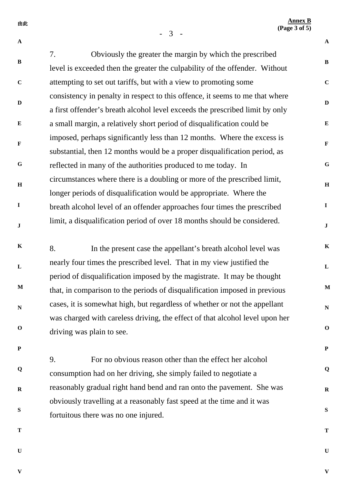**Annex B (Page 3 of 5)**

**B** 

**C**

**G**

**Q**

**R**

**U**

**V** 

- 3 -

由此

**A B C D E F G H I J K L M N O P Q R S T A D E F H I J K L M N O P S T** 7. Obviously the greater the margin by which the prescribed level is exceeded then the greater the culpability of the offender. Without attempting to set out tariffs, but with a view to promoting some consistency in penalty in respect to this offence, it seems to me that where a first offender's breath alcohol level exceeds the prescribed limit by only a small margin, a relatively short period of disqualification could be imposed, perhaps significantly less than 12 months. Where the excess is substantial, then 12 months would be a proper disqualification period, as reflected in many of the authorities produced to me today. In circumstances where there is a doubling or more of the prescribed limit, longer periods of disqualification would be appropriate. Where the breath alcohol level of an offender approaches four times the prescribed limit, a disqualification period of over 18 months should be considered. 8. In the present case the appellant's breath alcohol level was nearly four times the prescribed level. That in my view justified the period of disqualification imposed by the magistrate. It may be thought that, in comparison to the periods of disqualification imposed in previous cases, it is somewhat high, but regardless of whether or not the appellant was charged with careless driving, the effect of that alcohol level upon her driving was plain to see. 9. For no obvious reason other than the effect her alcohol consumption had on her driving, she simply failed to negotiate a reasonably gradual right hand bend and ran onto the pavement. She was obviously travelling at a reasonably fast speed at the time and it was fortuitous there was no one injured.

**U**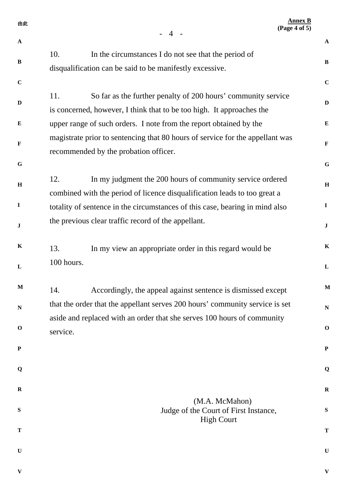| 由此           | (Page 4 of 5)<br>$-4$ -                                                                                                                       | <b>Annex B</b> |
|--------------|-----------------------------------------------------------------------------------------------------------------------------------------------|----------------|
| $\mathbf{A}$ |                                                                                                                                               | $\mathbf{A}$   |
| $\bf{B}$     | 10.<br>In the circumstances I do not see that the period of                                                                                   | $\bf{B}$       |
|              | disqualification can be said to be manifestly excessive.                                                                                      |                |
| $\mathbf C$  |                                                                                                                                               | $\mathbf C$    |
| D            | 11.<br>So far as the further penalty of 200 hours' community service<br>is concerned, however, I think that to be too high. It approaches the | $\mathbf{D}$   |
| ${\bf E}$    | upper range of such orders. I note from the report obtained by the                                                                            | $\bf{E}$       |
|              | magistrate prior to sentencing that 80 hours of service for the appellant was                                                                 |                |
| F            | recommended by the probation officer.                                                                                                         | $\mathbf F$    |
| $\mathbf G$  |                                                                                                                                               | $\mathbf G$    |
| $\, {\bf H}$ | 12.<br>In my judgment the 200 hours of community service ordered                                                                              | $\mathbf H$    |
|              | combined with the period of licence disqualification leads to too great a                                                                     |                |
| $\mathbf I$  | totality of sentence in the circumstances of this case, bearing in mind also                                                                  | $\mathbf{I}$   |
| ${\bf J}$    | the previous clear traffic record of the appellant.                                                                                           | $\mathbf{J}$   |
| K            | 13.<br>In my view an appropriate order in this regard would be                                                                                | $\mathbf K$    |
| L            | 100 hours.                                                                                                                                    | $\mathbf{L}$   |
| $\mathbf{M}$ | Accordingly, the appeal against sentence is dismissed except<br>14.                                                                           | $\mathbf{M}$   |
| N            | that the order that the appellant serves 200 hours' community service is set                                                                  | ${\bf N}$      |
| $\mathbf 0$  | aside and replaced with an order that she serves 100 hours of community<br>service.                                                           | $\mathbf 0$    |
| ${\bf P}$    |                                                                                                                                               | ${\bf P}$      |
| Q            |                                                                                                                                               | Q              |
| $\mathbf R$  |                                                                                                                                               | $\mathbf R$    |
| S            | (M.A. McMahon)<br>Judge of the Court of First Instance,<br><b>High Court</b>                                                                  | ${\bf S}$      |
| T            |                                                                                                                                               | T              |
| $\mathbf U$  |                                                                                                                                               | $\mathbf U$    |
| V            |                                                                                                                                               | $\mathbf{V}$   |